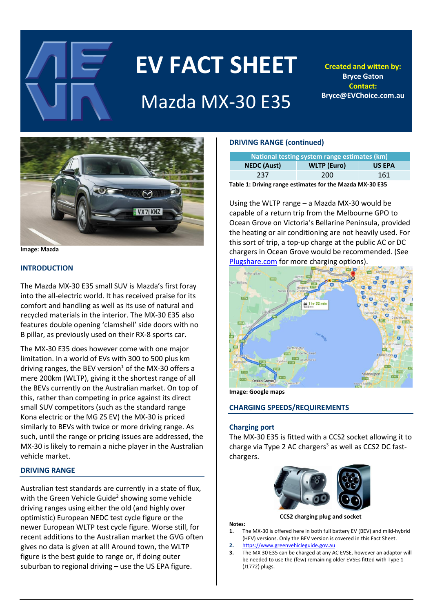

# **EV FACT SHEET**

# Mazda MX-30 E35

**Created and witten by: Bryce Gaton Contact: Bryce@EVChoice.com.au**



**Image: Mazda** 

# **INTRODUCTION**

The Mazda MX-30 E35 small SUV is Mazda's first foray into the all-electric world. It has received praise for its comfort and handling as well as its use of natural and recycled materials in the interior. The MX-30 E35 also features double opening 'clamshell' side doors with no B pillar, as previously used on their RX-8 sports car.

The MX-30 E35 does however come with one major limitation. In a world of EVs with 300 to 500 plus km driving ranges, the BEV version<sup>1</sup> of the MX-30 offers a mere 200km (WLTP), giving it the shortest range of all the BEVs currently on the Australian market. On top of this, rather than competing in price against its direct small SUV competitors (such as the standard range Kona electric or the MG ZS EV) the MX-30 is priced similarly to BEVs with twice or more driving range. As such, until the range or pricing issues are addressed, the MX-30 is likely to remain a niche player in the Australian vehicle market.

# **DRIVING RANGE**

Australian test standards are currently in a state of flux, with the Green Vehicle Guide<sup>2</sup> showing some vehicle driving ranges using either the old (and highly over optimistic) European NEDC test cycle figure or the newer European WLTP test cycle figure. Worse still, for recent additions to the Australian market the GVG often gives no data is given at all! Around town, the WLTP figure is the best guide to range or, if doing outer suburban to regional driving – use the US EPA figure.

# **DRIVING RANGE (continued)**

| National testing system range estimates (km) |                    |               |  |  |  |  |
|----------------------------------------------|--------------------|---------------|--|--|--|--|
| <b>NEDC</b> (Aust)                           | <b>WLTP</b> (Euro) | <b>US EPA</b> |  |  |  |  |
| 237                                          | 200                | 161           |  |  |  |  |

**Table 1: Driving range estimates for the Mazda MX-30 E35**

Using the WLTP range – a Mazda MX-30 would be capable of a return trip from the Melbourne GPO to Ocean Grove on Victoria's Bellarine Peninsula, provided the heating or air conditioning are not heavily used. For this sort of trip, a top-up charge at the public AC or DC chargers in Ocean Grove would be recommended. (See [Plugshare.com](file:///C:/Users/Owner/Documents/04a%20EV%20Writing%20&%20Presentations/01%20Fact%20sheets/Plugshare.com) for more charging options).



**Image: Google maps**

# **CHARGING SPEEDS/REQUIREMENTS**

# **Charging port**

The MX-30 E35 is fitted with a CCS2 socket allowing it to charge via Type 2 AC chargers $3$  as well as CCS2 DC fastchargers.



**CCS2 charging plug and socket**

**Notes:**

- **1.** The MX-30 is offered here in both full battery EV (BEV) and mild-hybrid (HEV) versions. Only the BEV version is covered in this Fact Sheet.
- **2.** [https://www.greenvehicleguide.gov.au](https://www.greenvehicleguide.gov.au/)
- **3.** The MX 30 E35 can be charged at any AC EVSE, however an adaptor will be needed to use the (few) remaining older EVSEs fitted with Type 1 (J1772) plugs.